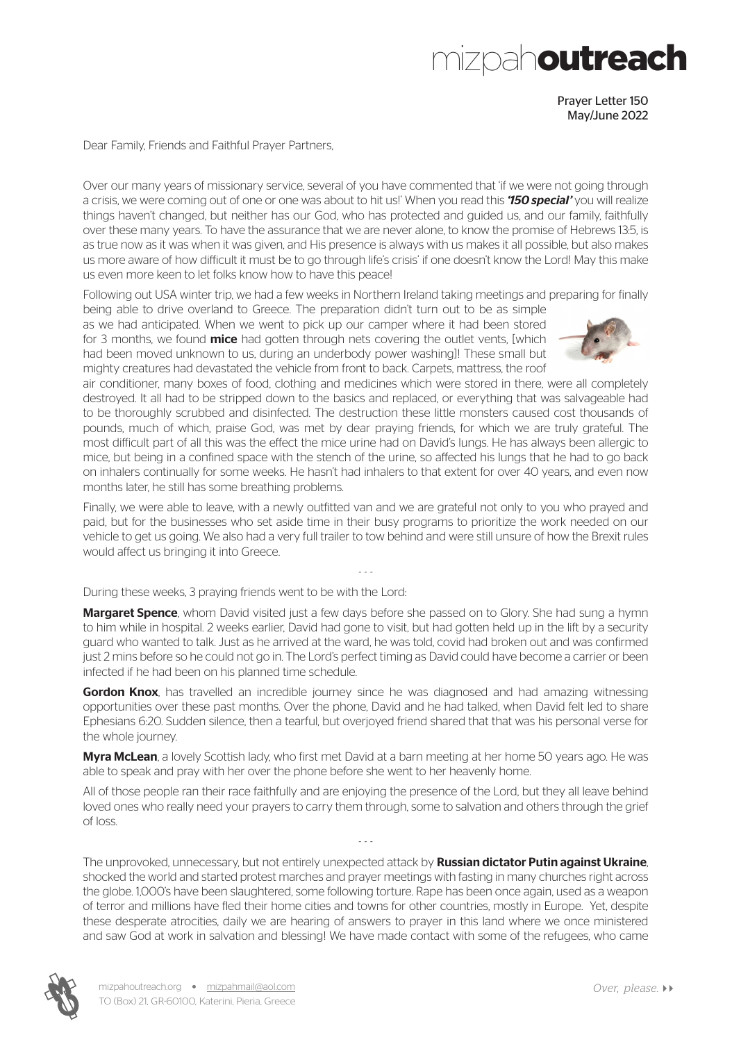

Prayer Letter 150 May/June 2022

Dear Family, Friends and Faithful Prayer Partners,

Over our many years of missionary service, several of you have commented that 'if we were not going through a crisis, we were coming out of one or one was about to hit us!' When you read this *'150 special'* you will realize things haven't changed, but neither has our God, who has protected and guided us, and our family, faithfully over these many years. To have the assurance that we are never alone, to know the promise of Hebrews 13:5, is as true now as it was when it was given, and His presence is always with us makes it all possible, but also makes us more aware of how difficult it must be to go through life's crisis' if one doesn't know the Lord! May this make us even more keen to let folks know how to have this peace!

Following out USA winter trip, we had a few weeks in Northern Ireland taking meetings and preparing for finally

being able to drive overland to Greece. The preparation didn't turn out to be as simple as we had anticipated. When we went to pick up our camper where it had been stored for 3 months, we found **mice** had gotten through nets covering the outlet vents, [which had been moved unknown to us, during an underbody power washing]! These small but mighty creatures had devastated the vehicle from front to back. Carpets, mattress, the roof



air conditioner, many boxes of food, clothing and medicines which were stored in there, were all completely destroyed. It all had to be stripped down to the basics and replaced, or everything that was salvageable had to be thoroughly scrubbed and disinfected. The destruction these little monsters caused cost thousands of pounds, much of which, praise God, was met by dear praying friends, for which we are truly grateful. The most difficult part of all this was the effect the mice urine had on David's lungs. He has always been allergic to mice, but being in a confined space with the stench of the urine, so affected his lungs that he had to go back on inhalers continually for some weeks. He hasn't had inhalers to that extent for over 40 years, and even now months later, he still has some breathing problems.

Finally, we were able to leave, with a newly outfitted van and we are grateful not only to you who prayed and paid, but for the businesses who set aside time in their busy programs to prioritize the work needed on our vehicle to get us going. We also had a very full trailer to tow behind and were still unsure of how the Brexit rules would affect us bringing it into Greece.

- - -

During these weeks, 3 praying friends went to be with the Lord:

**Margaret Spence**, whom David visited just a few days before she passed on to Glory. She had sung a hymn to him while in hospital. 2 weeks earlier, David had gone to visit, but had gotten held up in the lift by a security guard who wanted to talk. Just as he arrived at the ward, he was told, covid had broken out and was confirmed just 2 mins before so he could not go in. The Lord's perfect timing as David could have become a carrier or been infected if he had been on his planned time schedule.

Gordon Knox, has travelled an incredible journey since he was diagnosed and had amazing witnessing opportunities over these past months. Over the phone, David and he had talked, when David felt led to share Ephesians 6:20. Sudden silence, then a tearful, but overjoyed friend shared that that was his personal verse for the whole journey.

Myra McLean, a lovely Scottish lady, who first met David at a barn meeting at her home 50 years ago. He was able to speak and pray with her over the phone before she went to her heavenly home.

All of those people ran their race faithfully and are enjoying the presence of the Lord, but they all leave behind loved ones who really need your prayers to carry them through, some to salvation and others through the grief of loss.

- - -

The unprovoked, unnecessary, but not entirely unexpected attack by Russian dictator Putin against Ukraine, shocked the world and started protest marches and prayer meetings with fasting in many churches right across the globe. 1,000's have been slaughtered, some following torture. Rape has been once again, used as a weapon of terror and millions have fled their home cities and towns for other countries, mostly in Europe. Yet, despite these desperate atrocities, daily we are hearing of answers to prayer in this land where we once ministered and saw God at work in salvation and blessing! We have made contact with some of the refugees, who came

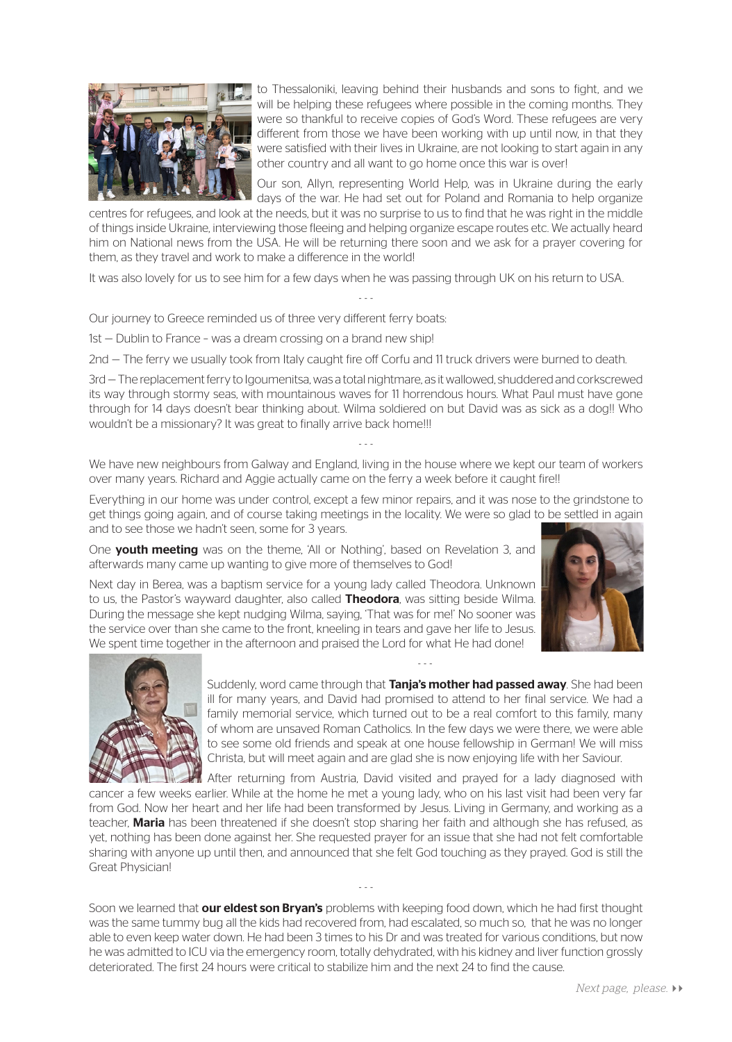

to Thessaloniki, leaving behind their husbands and sons to fight, and we will be helping these refugees where possible in the coming months. They were so thankful to receive copies of God's Word. These refugees are very different from those we have been working with up until now, in that they were satisfied with their lives in Ukraine, are not looking to start again in any other country and all want to go home once this war is over!

Our son, Allyn, representing World Help, was in Ukraine during the early days of the war. He had set out for Poland and Romania to help organize

centres for refugees, and look at the needs, but it was no surprise to us to find that he was right in the middle of things inside Ukraine, interviewing those fleeing and helping organize escape routes etc. We actually heard him on National news from the USA. He will be returning there soon and we ask for a prayer covering for them, as they travel and work to make a difference in the world!

It was also lovely for us to see him for a few days when he was passing through UK on his return to USA.

- - -

Our journey to Greece reminded us of three very different ferry boats:

1st — Dublin to France – was a dream crossing on a brand new ship!

2nd — The ferry we usually took from Italy caught fire off Corfu and 11 truck drivers were burned to death.

3rd — The replacement ferry to Igoumenitsa, was a total nightmare, as it wallowed, shuddered and corkscrewed its way through stormy seas, with mountainous waves for 11 horrendous hours. What Paul must have gone through for 14 days doesn't bear thinking about. Wilma soldiered on but David was as sick as a dog!! Who wouldn't be a missionary? It was great to finally arrive back home!!!

### We have new neighbours from Galway and England, living in the house where we kept our team of workers over many years. Richard and Aggie actually came on the ferry a week before it caught fire!!

- - -

Everything in our home was under control, except a few minor repairs, and it was nose to the grindstone to get things going again, and of course taking meetings in the locality. We were so glad to be settled in again and to see those we hadn't seen, some for 3 years.

One **youth meeting** was on the theme, 'All or Nothing', based on Revelation 3, and afterwards many came up wanting to give more of themselves to God!



Next day in Berea, was a baptism service for a young lady called Theodora. Unknown to us, the Pastor's wayward daughter, also called Theodora, was sitting beside Wilma. During the message she kept nudging Wilma, saying, 'That was for me!' No sooner was the service over than she came to the front, kneeling in tears and gave her life to Jesus. We spent time together in the afternoon and praised the Lord for what He had done!



Suddenly, word came through that Tanja's mother had passed away. She had been ill for many years, and David had promised to attend to her final service. We had a family memorial service, which turned out to be a real comfort to this family, many of whom are unsaved Roman Catholics. In the few days we were there, we were able to see some old friends and speak at one house fellowship in German! We will miss Christa, but will meet again and are glad she is now enjoying life with her Saviour.

- - -

After returning from Austria, David visited and prayed for a lady diagnosed with cancer a few weeks earlier. While at the home he met a young lady, who on his last visit had been very far from God. Now her heart and her life had been transformed by Jesus. Living in Germany, and working as a teacher, **Maria** has been threatened if she doesn't stop sharing her faith and although she has refused, as yet, nothing has been done against her. She requested prayer for an issue that she had not felt comfortable sharing with anyone up until then, and announced that she felt God touching as they prayed. God is still the Great Physician!

Soon we learned that **our eldest son Bryan's** problems with keeping food down, which he had first thought was the same tummy bug all the kids had recovered from, had escalated, so much so, that he was no longer able to even keep water down. He had been 3 times to his Dr and was treated for various conditions, but now he was admitted to ICU via the emergency room, totally dehydrated, with his kidney and liver function grossly deteriorated. The first 24 hours were critical to stabilize him and the next 24 to find the cause.

- - -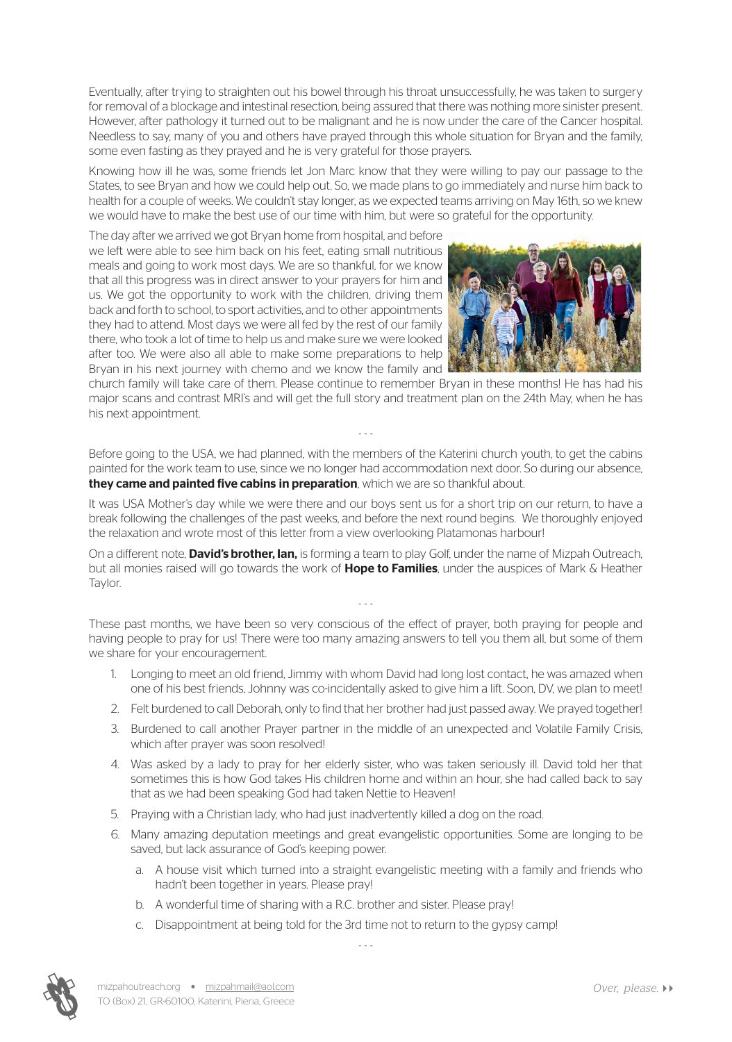Eventually, after trying to straighten out his bowel through his throat unsuccessfully, he was taken to surgery for removal of a blockage and intestinal resection, being assured that there was nothing more sinister present. However, after pathology it turned out to be malignant and he is now under the care of the Cancer hospital. Needless to say, many of you and others have prayed through this whole situation for Bryan and the family, some even fasting as they prayed and he is very grateful for those prayers.

Knowing how ill he was, some friends let Jon Marc know that they were willing to pay our passage to the States, to see Bryan and how we could help out. So, we made plans to go immediately and nurse him back to health for a couple of weeks. We couldn't stay longer, as we expected teams arriving on May 16th, so we knew we would have to make the best use of our time with him, but were so grateful for the opportunity.

The day after we arrived we got Bryan home from hospital, and before we left were able to see him back on his feet, eating small nutritious meals and going to work most days. We are so thankful, for we know that all this progress was in direct answer to your prayers for him and us. We got the opportunity to work with the children, driving them back and forth to school, to sport activities, and to other appointments they had to attend. Most days we were all fed by the rest of our family there, who took a lot of time to help us and make sure we were looked after too. We were also all able to make some preparations to help Bryan in his next journey with chemo and we know the family and



church family will take care of them. Please continue to remember Bryan in these months! He has had his major scans and contrast MRI's and will get the full story and treatment plan on the 24th May, when he has his next appointment.

- - -

Before going to the USA, we had planned, with the members of the Katerini church youth, to get the cabins painted for the work team to use, since we no longer had accommodation next door. So during our absence, they came and painted five cabins in preparation, which we are so thankful about.

It was USA Mother's day while we were there and our boys sent us for a short trip on our return, to have a break following the challenges of the past weeks, and before the next round begins. We thoroughly enjoyed the relaxation and wrote most of this letter from a view overlooking Platamonas harbour!

On a different note, **David's brother, Ian,** is forming a team to play Golf, under the name of Mizpah Outreach, but all monies raised will go towards the work of Hope to Families, under the auspices of Mark & Heather Taylor.

These past months, we have been so very conscious of the effect of prayer, both praying for people and having people to pray for us! There were too many amazing answers to tell you them all, but some of them we share for your encouragement.

- - -

- 1. Longing to meet an old friend, Jimmy with whom David had long lost contact, he was amazed when one of his best friends, Johnny was co-incidentally asked to give him a lift. Soon, DV, we plan to meet!
- 2. Felt burdened to call Deborah, only to find that her brother had just passed away. We prayed together!
- 3. Burdened to call another Prayer partner in the middle of an unexpected and Volatile Family Crisis, which after prayer was soon resolved!
- 4. Was asked by a lady to pray for her elderly sister, who was taken seriously ill. David told her that sometimes this is how God takes His children home and within an hour, she had called back to say that as we had been speaking God had taken Nettie to Heaven!
- 5. Praying with a Christian lady, who had just inadvertently killed a dog on the road.
- 6. Many amazing deputation meetings and great evangelistic opportunities. Some are longing to be saved, but lack assurance of God's keeping power.
	- a. A house visit which turned into a straight evangelistic meeting with a family and friends who hadn't been together in years. Please pray!
	- b. A wonderful time of sharing with a R.C. brother and sister. Please pray!
	- c. Disappointment at being told for the 3rd time not to return to the gypsy camp!

- - -